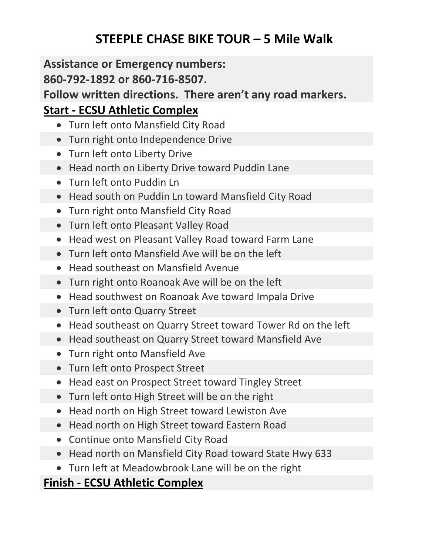# **STEEPLE CHASE BIKE TOUR – 5 Mile Walk**

#### **Assistance or Emergency numbers:**

### **860-792-1892 or 860-716-8507.**

**Follow written directions. There aren't any road markers.**

## **Start - ECSU Athletic Complex**

- Turn left onto Mansfield City Road
- Turn right onto Independence Drive
- Turn left onto Liberty Drive
- Head north on Liberty Drive toward Puddin Lane
- Turn left onto Puddin Ln
- Head south on Puddin Ln toward Mansfield City Road
- Turn right onto Mansfield City Road
- Turn left onto Pleasant Valley Road
	- Head west on Pleasant Valley Road toward Farm Lane
	- Turn left onto Mansfield Ave will be on the left
	- Head southeast on Mansfield Avenue
	- Turn right onto Roanoak Ave will be on the left
	- Head southwest on Roanoak Ave toward Impala Drive
	- Turn left onto Quarry Street
	- Head southeast on Quarry Street toward Tower Rd on the left
	- Head southeast on Quarry Street toward Mansfield Ave
	- Turn right onto Mansfield Ave
	- Turn left onto Prospect Street
	- Head east on Prospect Street toward Tingley Street
	- Turn left onto High Street will be on the right
	- Head north on High Street toward Lewiston Ave
	- Head north on High Street toward Eastern Road
	- Continue onto Mansfield City Road
	- Head north on Mansfield City Road toward State Hwy 633
	- Turn left at Meadowbrook Lane will be on the right

## **Finish - ECSU Athletic Complex**